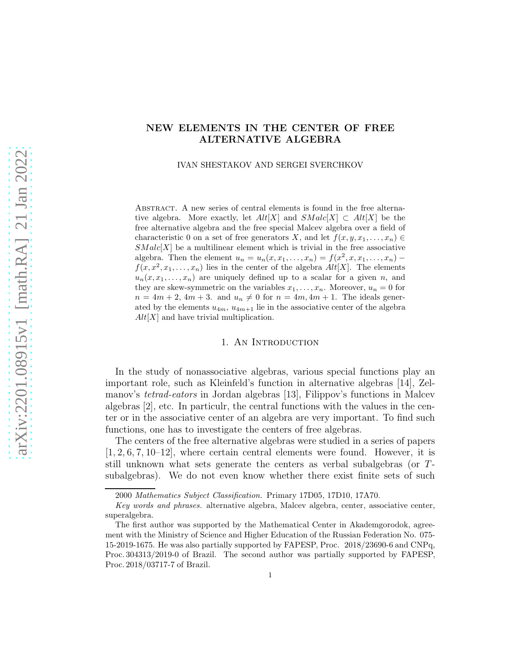## NEW ELEMENTS IN THE CENTER OF FREE ALTERNATIVE ALGEBRA

IVAN SHESTAKOV AND SERGEI SVERCHKOV

Abstract. A new series of central elements is found in the free alternative algebra. More exactly, let  $Alt[X]$  and  $SMalc[X] \subset Alt[X]$  be the free alternative algebra and the free special Malcev algebra over a field of characteristic 0 on a set of free generators X, and let  $f(x, y, x_1, \ldots, x_n) \in$  $SMalc[X]$  be a multilinear element which is trivial in the free associative algebra. Then the element  $u_n = u_n(x, x_1, \ldots, x_n) = f(x^2, x, x_1, \ldots, x_n)$  $f(x, x^2, x_1, \ldots, x_n)$  lies in the center of the algebra  $Alt[X]$ . The elements  $u_n(x, x_1, \ldots, x_n)$  are uniquely defined up to a scalar for a given n, and they are skew-symmetric on the variables  $x_1, \ldots, x_n$ . Moreover,  $u_n = 0$  for  $n = 4m + 2$ ,  $4m + 3$ . and  $u_n \neq 0$  for  $n = 4m, 4m + 1$ . The ideals generated by the elements  $u_{4m}$ ,  $u_{4m+1}$  lie in the associative center of the algebra  $Alt[X]$  and have trivial multiplication.

### 1. An Introduction

In the study of nonassociative algebras, various special functions play an important role, such as Kleinfeld's function in alternative algebras [14], Zelmanov's *tetrad-eators* in Jordan algebras [13], Filippov's functions in Malcev algebras [2], etc. In particulr, the central functions with the values in the center or in the associative center of an algebra are very important. To find such functions, one has to investigate the centers of free algebras.

The centers of the free alternative algebras were studied in a series of papers  $[1, 2, 6, 7, 10-12]$ , where certain central elements were found. However, it is still unknown what sets generate the centers as verbal subalgebras (or Tsubalgebras). We do not even know whether there exist finite sets of such

<sup>2000</sup> Mathematics Subject Classification. Primary 17D05, 17D10, 17A70.

Key words and phrases. alternative algebra, Malcev algebra, center, associative center, superalgebra.

The first author was supported by the Mathematical Center in Akademgorodok, agreement with the Ministry of Science and Higher Education of the Russian Federation No. 075- 15-2019-1675. He was also partially supported by FAPESP, Proc. 2018/23690-6 and CNPq, Proc. 304313/2019-0 of Brazil. The second author was partially supported by FAPESP, Proc. 2018/03717-7 of Brazil.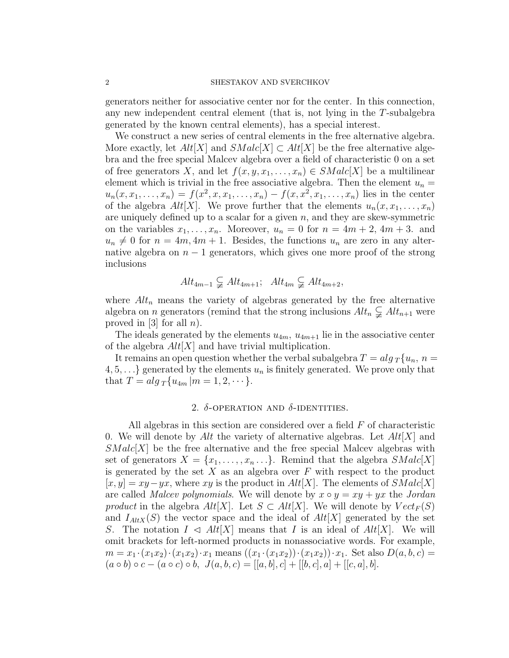#### 2 SHESTAKOV AND SVERCHKOV

generators neither for associative center nor for the center. In this connection, any new independent central element (that is, not lying in the T-subalgebra generated by the known central elements), has a special interest.

We construct a new series of central elements in the free alternative algebra. More exactly, let  $Alt[X]$  and  $SMale[X] \subset Alt[X]$  be the free alternative algebra and the free special Malcev algebra over a field of characteristic 0 on a set of free generators X, and let  $f(x, y, x_1, \ldots, x_n) \in SMalc[X]$  be a multilinear element which is trivial in the free associative algebra. Then the element  $u_n =$  $u_n(x, x_1, \ldots, x_n) = f(x^2, x, x_1, \ldots, x_n) - f(x, x^2, x_1, \ldots, x_n)$  lies in the center of the algebra  $Alt[X]$ . We prove further that the elements  $u_n(x, x_1, \ldots, x_n)$ are uniquely defined up to a scalar for a given  $n$ , and they are skew-symmetric on the variables  $x_1, \ldots, x_n$ . Moreover,  $u_n = 0$  for  $n = 4m + 2$ ,  $4m + 3$ . and  $u_n \neq 0$  for  $n = 4m, 4m + 1$ . Besides, the functions  $u_n$  are zero in any alternative algebra on  $n-1$  generators, which gives one more proof of the strong inclusions

$$
Alt_{4m-1} \subsetneq Alt_{4m+1};
$$
  $Alt_{4m} \subsetneq Alt_{4m+2},$ 

where  $Alt_n$  means the variety of algebras generated by the free alternative algebra on *n* generators (remind that the strong inclusions  $Alt_n \subsetneq Alt_{n+1}$  were proved in [3] for all  $n$ ).

The ideals generated by the elements  $u_{4m}$ ,  $u_{4m+1}$  lie in the associative center of the algebra  $Alt[X]$  and have trivial multiplication.

It remains an open question whether the verbal subalgebra  $T = alg_T \{u_n, n =$  $\{4, 5, \ldots\}$  generated by the elements  $u_n$  is finitely generated. We prove only that that  $T = alg_T\{u_{4m} | m = 1, 2, \dots\}.$ 

### 2.  $\delta$ -OPERATION AND  $\delta$ -IDENTITIES.

All algebras in this section are considered over a field  $F$  of characteristic 0. We will denote by Alt the variety of alternative algebras. Let  $Alt|X|$  and  $SMalc[X]$  be the free alternative and the free special Malcev algebras with set of generators  $X = \{x_1, \ldots, x_n \ldots\}$ . Remind that the algebra  $SMalc[X]$ is generated by the set X as an algebra over  $F$  with respect to the product  $[x, y] = xy - yx$ , where xy is the product in Alt[X]. The elements of SMalc[X] are called *Malcev polynomials*. We will denote by  $x \circ y = xy + yx$  the *Jordan product* in the algebra  $Alt[X]$ . Let  $S \subset Alt[X]$ . We will denote by  $Vect_F(S)$ and  $I_{AltX}(S)$  the vector space and the ideal of  $Alt[X]$  generated by the set S. The notation  $I \triangleleft Alt[X]$  means that I is an ideal of  $Alt[X]$ . We will omit brackets for left-normed products in nonassociative words. For example,  $m = x_1 \cdot (x_1 x_2) \cdot (x_1 x_2) \cdot x_1$  means  $((x_1 \cdot (x_1 x_2)) \cdot (x_1 x_2)) \cdot x_1$ . Set also  $D(a, b, c)$  $(a \circ b) \circ c - (a \circ c) \circ b, J(a, b, c) = [[a, b], c] + [[b, c], a] + [[c, a], b].$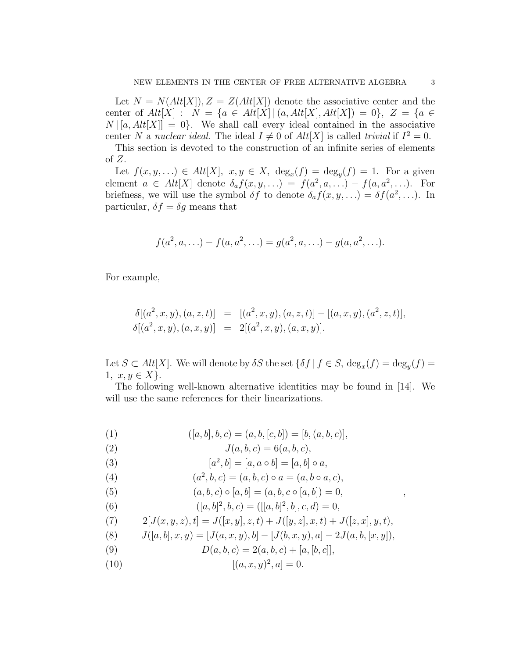Let  $N = N(Alt[X]), Z = Z(Alt[X])$  denote the associative center and the center of  $Alt[X] : N = \{a \in Alt[X] | (a, Alt[X], Alt[X]) = 0\}, Z = \{a \in$  $N | [a, Alt[X]] = 0$ . We shall call every ideal contained in the associative center N a *nuclear ideal*. The ideal  $I \neq 0$  of  $Alt[X]$  is called *trivial* if  $I^2 = 0$ .

This section is devoted to the construction of an infinite series of elements of  $Z$ .

Let  $f(x, y, ...) \in Alt[X], x, y \in X$ ,  $\deg_x(f) = \deg_y(f) = 1$ . For a given element  $a \in Alt[X]$  denote  $\delta_a f(x, y, \ldots) = f(a^2, a, \ldots) - f(a, a^2, \ldots)$ . For briefness, we will use the symbol  $\delta f$  to denote  $\delta_a f(x, y, \ldots) = \delta f(a^2, \ldots)$ . In particular,  $\delta f = \delta g$  means that

$$
f(a^2, a, \ldots) - f(a, a^2, \ldots) = g(a^2, a, \ldots) - g(a, a^2, \ldots).
$$

For example,

$$
\delta[(a^2, x, y), (a, z, t)] = [(a^2, x, y), (a, z, t)] - [(a, x, y), (a^2, z, t)], \n\delta[(a^2, x, y), (a, x, y)] = 2[(a^2, x, y), (a, x, y)].
$$

Let  $S \subset Alt[X]$ . We will denote by  $\delta S$  the set  $\{\delta f \mid f \in S, \deg_x(f) = \deg_y(f) = \deg_y(f)\}$ 1,  $x, y \in X$ .

The following well-known alternative identities may be found in [14]. We will use the same references for their linearizations.

(1) 
$$
([a, b], b, c) = (a, b, [c, b]) = [b, (a, b, c)],
$$

(2) 
$$
J(a, b, c) = 6(a, b, c),
$$

(3) 
$$
[a^2, b] = [a, a \circ b] = [a, b] \circ a,
$$

(4) 
$$
(a^2, b, c) = (a, b, c) \circ a = (a, b \circ a, c),
$$

(5) 
$$
(a, b, c) \circ [a, b] = (a, b, c \circ [a, b]) = 0,
$$

(6) 
$$
([a, b]^2, b, c) = ([[a, b]^2, b], c, d) = 0,
$$

(7) 
$$
2[J(x, y, z), t] = J([x, y], z, t) + J([y, z], x, t) + J([z, x], y, t),
$$

(8) 
$$
J([a, b], x, y) = [J(a, x, y), b] - [J(b, x, y), a] - 2J(a, b, [x, y]),
$$

- (9)  $D(a, b, c) = 2(a, b, c) + [a, [b, c]],$
- (10)  $[(a, x, y)^2, a] = 0.$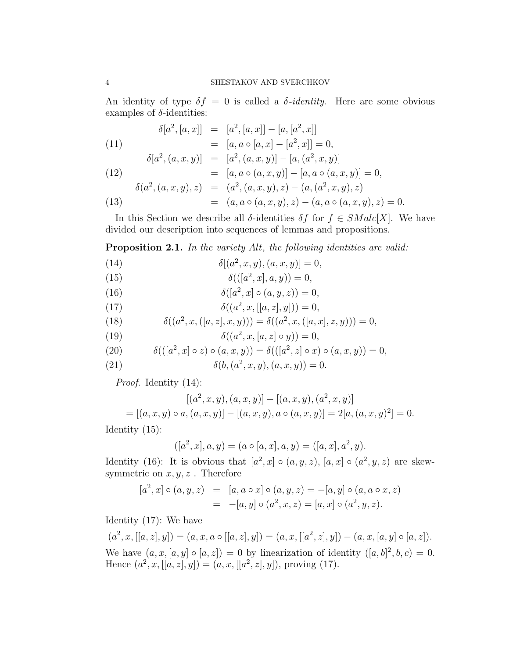An identity of type  $\delta f = 0$  is called a  $\delta$ -*identity*. Here are some obvious examples of  $\delta$ -identities:

(11) 
$$
\delta[a^2, [a, x]] = [a^2, [a, x]] - [a, [a^2, x]]
$$

$$
= [a, a \circ [a, x] - [a^2, x]] = 0,
$$

$$
\delta[a^2, (a, x, y)] = [a^2, (a, x, y)] - [a, (a^2, x, y)]
$$

(12)  
\n
$$
\delta(a^2, (a, x, y), z) = [a, a \circ (a, x, y)] - [a, a \circ (a, x, y)] = 0,
$$
\n
$$
\delta(a^2, (a, x, y), z) = (a^2, (a, x, y), z) - (a, (a^2, x, y), z)
$$
\n
$$
= (a, a \circ (a, x, y), z) - (a, a \circ (a, x, y), z) = 0.
$$

In this Section we describe all  $\delta$ -identities  $\delta f$  for  $f \in SMalc[X]$ . We have divided our description into sequences of lemmas and propositions.

Proposition 2.1. *In the variety* Alt*, the following identities are valid:*

(14) 
$$
\delta[(a^2, x, y), (a, x, y)] = 0,
$$

(15) 
$$
\delta(([a^2, x], a, y)) = 0,
$$

(16) 
$$
\delta([a^2, x] \circ (a, y, z)) = 0,
$$

(17) 
$$
\delta((a^2, x, [[a, z], y])) = 0,
$$

(18) 
$$
\delta((a^2, x, ([a, z], x, y))) = \delta((a^2, x, ([a, x], z, y))) = 0,
$$

(19) 
$$
\delta((a^2, x, [a, z] \circ y)) = 0,
$$

(20) 
$$
\delta(([a^2, x] \circ z) \circ (a, x, y)) = \delta(([a^2, z] \circ x) \circ (a, x, y)) = 0,
$$

(21) 
$$
\delta(b, (a^2, x, y), (a, x, y)) = 0.
$$

*Proof.* Identity (14):

$$
[(a^2, x, y), (a, x, y)] - [(a, x, y), (a^2, x, y)]
$$
  
= [(a, x, y) o a, (a, x, y)] - [(a, x, y), a o (a, x, y)] = 2[a, (a, x, y)<sup>2</sup>] = 0.

Identity (15):

$$
([a2, x], a, y) = (a \circ [a, x], a, y) = ([a, x], a2, y).
$$

Identity (16): It is obvious that  $[a^2, x] \circ (a, y, z)$ ,  $[a, x] \circ (a^2, y, z)$  are skewsymmetric on  $x, y, z$ . Therefore

$$
[a^2, x] \circ (a, y, z) = [a, a \circ x] \circ (a, y, z) = -[a, y] \circ (a, a \circ x, z)
$$
  
= -[a, y] \circ (a^2, x, z) = [a, x] \circ (a^2, y, z).

Identity (17): We have

$$
(a^2, x, [[a, z], y]) = (a, x, a \circ [[a, z], y]) = (a, x, [[a^2, z], y]) - (a, x, [a, y] \circ [a, z]).
$$
  
We have 
$$
(a, x, [a, y] \circ [a, z]) = 0
$$
 by linearization of identity 
$$
([a, b]^2, b, c) = 0.
$$
Hence 
$$
(a^2, x, [[a, z], y]) = (a, x, [[a^2, z], y]),
$$
 proving (17).

$$
\mathfrak{q}
$$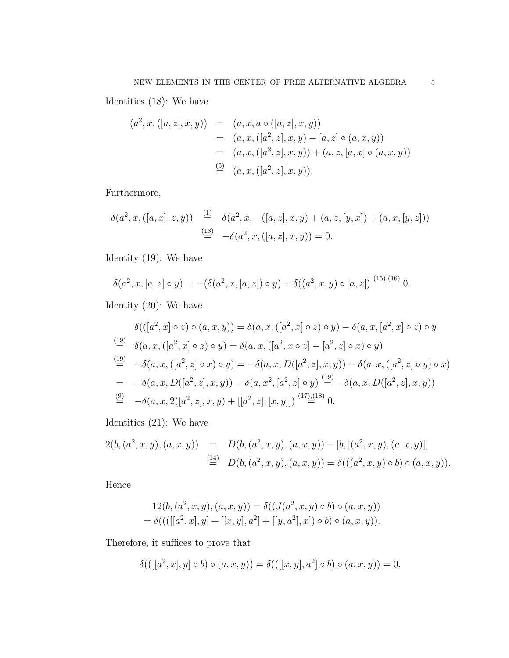Identities (18): We have

$$
(a^{2}, x, ([a, z], x, y)) = (a, x, a \circ ([a, z], x, y))
$$
  
=  $(a, x, ([a^{2}, z], x, y) - [a, z] \circ (a, x, y))$   
=  $(a, x, ([a^{2}, z], x, y)) + (a, z, [a, x] \circ (a, x, y))$   
 $\stackrel{(5)}{=} (a, x, ([a^{2}, z], x, y)).$ 

Furthermore,

$$
\delta(a^2, x, ([a, x], z, y)) \stackrel{(1)}{=} \delta(a^2, x, -([a, z], x, y) + (a, z, [y, x]) + (a, x, [y, z]))
$$
  

$$
\stackrel{(13)}{=} -\delta(a^2, x, ([a, z], x, y)) = 0.
$$

Identity (19): We have

$$
\delta(a^2, x, [a, z] \circ y) = -(\delta(a^2, x, [a, z]) \circ y) + \delta((a^2, x, y) \circ [a, z]) \stackrel{(15),(16)}{=} 0.
$$

Identity (20): We have

$$
\delta(([a^2, x] \circ z) \circ (a, x, y)) = \delta(a, x, ([a^2, x] \circ z) \circ y) - \delta(a, x, [a^2, x] \circ z) \circ y
$$
\n
$$
\stackrel{(19)}{=} \delta(a, x, ([a^2, x] \circ z) \circ y) = \delta(a, x, ([a^2, x \circ z] - [a^2, z] \circ x) \circ y)
$$
\n
$$
\stackrel{(19)}{=} -\delta(a, x, ([a^2, z] \circ x) \circ y) = -\delta(a, x, D([a^2, z], x, y)) - \delta(a, x, ([a^2, z] \circ y) \circ x)
$$
\n
$$
= -\delta(a, x, D([a^2, z], x, y)) - \delta(a, x^2, [a^2, z] \circ y) \stackrel{(19)}{=} -\delta(a, x, D([a^2, z], x, y))
$$
\n
$$
\stackrel{(9)}{=} -\delta(a, x, 2([a^2, z], x, y) + [[a^2, z], [x, y]]) \stackrel{(17),(18)}{=} 0.
$$

Identities (21): We have

$$
2(b, (a2, x, y), (a, x, y)) = D(b, (a2, x, y), (a, x, y)) - [b, [(a2, x, y), (a, x, y)]]
$$
  
\n
$$
\stackrel{(14)}{=} D(b, (a2, x, y), (a, x, y)) = \delta(((a2, x, y) \circ b) \circ (a, x, y)).
$$

Hence

$$
12(b, (a2, x, y), (a, x, y)) = \delta((J(a2, x, y) \circ b) \circ (a, x, y))
$$
  
=  $\delta((([[a2, x], y] + [[x, y], a2] + [[y, a2], x]) \circ b) \circ (a, x, y)).$ 

Therefore, it suffices to prove that

$$
\delta([[[a^2, x], y] \circ b) \circ (a, x, y)) = \delta([[[x, y], a^2] \circ b) \circ (a, x, y)) = 0.
$$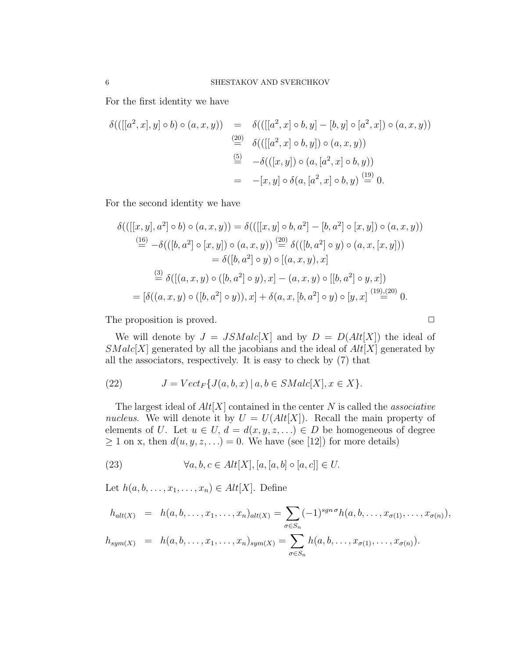For the first identity we have

$$
\delta(([[a^2, x], y] \circ b) \circ (a, x, y)) = \delta(([[a^2, x] \circ b, y] - [b, y] \circ [a^2, x]) \circ (a, x, y))
$$
  
\n
$$
\stackrel{(20)}{=} \delta(([[a^2, x] \circ b, y]) \circ (a, x, y))
$$
  
\n
$$
\stackrel{(5)}{=} -\delta(([x, y]) \circ (a, [a^2, x] \circ b, y))
$$
  
\n
$$
= -[x, y] \circ \delta(a, [a^2, x] \circ b, y) \stackrel{(19)}{=} 0.
$$

For the second identity we have

$$
\delta(([[x, y], a^2] \circ b) \circ (a, x, y)) = \delta(([[x, y] \circ b, a^2] - [b, a^2] \circ [x, y]) \circ (a, x, y))
$$
  
\n
$$
\stackrel{(16)}{=} -\delta(([b, a^2] \circ [x, y]) \circ (a, x, y)) \stackrel{(20)}{=} \delta(([b, a^2] \circ y) \circ (a, x, [x, y]))
$$
  
\n
$$
= \delta([b, a^2] \circ y) \circ [(a, x, y), x]
$$
  
\n
$$
\stackrel{(3)}{=} \delta([(a, x, y) \circ ([b, a^2] \circ y), x] - (a, x, y) \circ [[b, a^2] \circ y, x])
$$
  
\n
$$
= [\delta((a, x, y) \circ ([b, a^2] \circ y)), x] + \delta(a, x, [b, a^2] \circ y) \circ [y, x] \stackrel{(19),(20)}{=} 0.
$$

The proposition is proved.

We will denote by  $J = JSMalc[X]$  and by  $D = D(Alt[X])$  the ideal of  $SMalc[X]$  generated by all the jacobians and the ideal of  $Alt[X]$  generated by all the associators, respectively. It is easy to check by (7) that

(22) 
$$
J = Vect_F\{J(a, b, x) | a, b \in SMalc[X], x \in X\}.
$$

The largest ideal of Alt[X] contained in the center N is called the *associative nucleus*. We will denote it by  $U = U(Alt[X])$ . Recall the main property of elements of U. Let  $u \in U$ ,  $d = d(x, y, z, ...) \in D$  be homogeneous of degree  $\geq 1$  on x, then  $d(u, y, z, ...) = 0$ . We have (see [12]) for more details)

(23) 
$$
\forall a, b, c \in Alt[X], [a, [a, b] \circ [a, c]] \in U.
$$

Let  $h(a, b, \ldots, x_1, \ldots, x_n) \in Alt[X]$ . Define

$$
h_{alt(X)} = h(a, b, ..., x_1, ..., x_n)_{alt(X)} = \sum_{\sigma \in S_n} (-1)^{sgn \sigma} h(a, b, ..., x_{\sigma(1)}, ..., x_{\sigma(n)}),
$$
  
\n
$$
h_{sym(X)} = h(a, b, ..., x_1, ..., x_n)_{sym(X)} = \sum_{\sigma \in S_n} h(a, b, ..., x_{\sigma(1)}, ..., x_{\sigma(n)}).
$$

$$
\Box
$$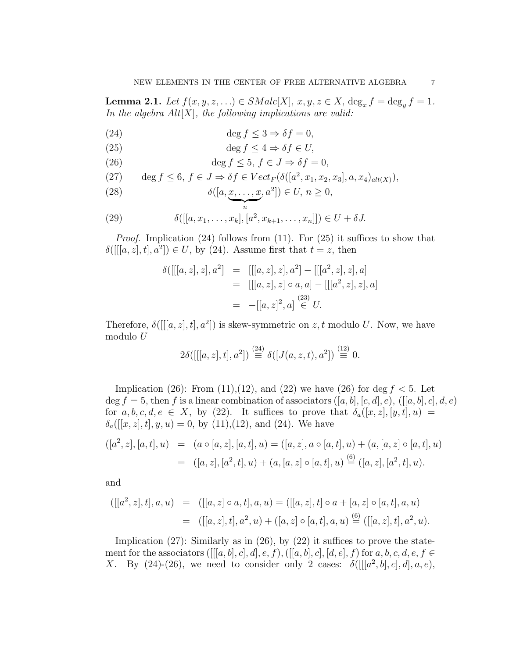**Lemma 2.1.** *Let*  $f(x, y, z, ...) \in SMalc[X], x, y, z \in X, \deg_x f = \deg_y f = 1.$ *In the algebra* Alt[X]*, the following implications are valid:*

(24) 
$$
\deg f \leq 3 \Rightarrow \delta f = 0,
$$

(25) 
$$
\deg f \le 4 \Rightarrow \delta f \in U,
$$

(26) 
$$
\deg f \le 5, f \in J \Rightarrow \delta f = 0,
$$

(27) 
$$
\deg f \le 6, f \in J \Rightarrow \delta f \in Vect_F(\delta([a^2, x_1, x_2, x_3], a, x_4)_{alt(X)}),
$$

(28) 
$$
\delta([a, \underbrace{x, \ldots, x}_{n}, a^2]) \in U, n \ge 0,
$$

(29) 
$$
\delta([[a, x_1, \ldots, x_k], [a^2, x_{k+1}, \ldots, x_n]]) \in U + \delta J.
$$

*Proof.* Implication (24) follows from (11). For (25) it suffices to show that  $\delta([[a, z], t], a^2]) \in U$ , by (24). Assume first that  $t = z$ , then

$$
\delta([[a, z], z], a^2] = [[[a, z], z], a^2] - [[[a^2, z], z], a]
$$
  

$$
= [[[a, z], z] \circ a, a] - [[[a^2, z], z], a]
$$
  

$$
= -[[a, z]^2, a] \stackrel{(23)}{\in} U.
$$

Therefore,  $\delta([[a, z], t], a^2])$  is skew-symmetric on z, t modulo U. Now, we have modulo U

$$
2\delta([[a, z], t], a^2]) \stackrel{(24)}{\equiv} \delta([J(a, z, t), a^2]) \stackrel{(12)}{\equiv} 0.
$$

Implication (26): From (11), (12), and (22) we have (26) for deg  $f < 5$ . Let  $\deg f = 5$ , then f is a linear combination of associators  $([a, b], [c, d], e)$ ,  $([a, b], c], d, e)$ for  $a, b, c, d, e \in X$ , by (22). It suffices to prove that  $\delta_a([x, z], [y, t], u) =$  $\delta_a([[x, z], t], y, u) = 0$ , by (11),(12), and (24). We have

$$
([a2, z], [a, t], u) = (a \circ [a, z], [a, t], u) = ([a, z], a \circ [a, t], u) + (a, [a, z] \circ [a, t], u)
$$
  

$$
= ([a, z], [a2, t], u) + (a, [a, z] \circ [a, t], u) \stackrel{(6)}{=} ([a, z], [a2, t], u).
$$

and

$$
([[a^2, z], t], a, u) = ([[a, z] \circ a, t], a, u) = ([[a, z], t] \circ a + [a, z] \circ [a, t], a, u)
$$
  

$$
= ([[a, z], t], a^2, u) + ([a, z] \circ [a, t], a, u) \stackrel{(6)}{=}([[a, z], t], a^2, u).
$$

Implication  $(27)$ : Similarly as in  $(26)$ , by  $(22)$  it suffices to prove the statement for the associators  $([[a, b], c], d], e, f)$ ,  $([a, b], c], [d, e], f)$  for  $a, b, c, d, e, f \in$ X. By (24)-(26), we need to consider only 2 cases:  $\delta([[a^2, b], c], d], a, e),$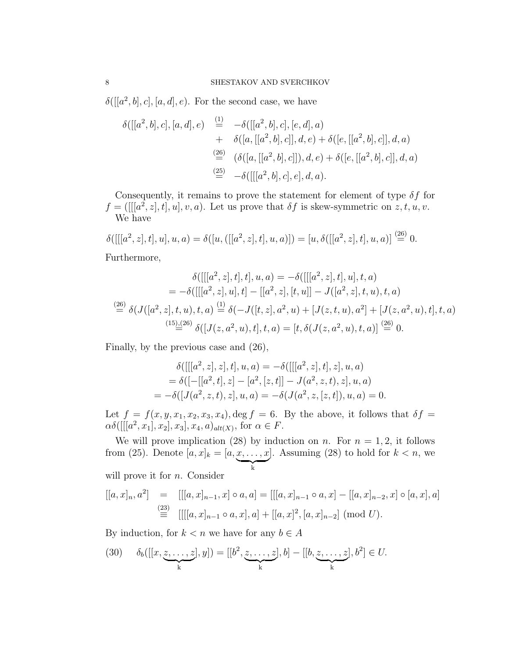$\delta([[a^2, b], c], [a, d], e)$ . For the second case, we have

$$
\delta([[a^2, b], c], [a, d], e) \stackrel{\text{(1)}}{=} -\delta([[a^2, b], c], [e, d], a) \n+ \delta([a, [[a^2, b], c]], d, e) + \delta([e, [[a^2, b], c]], d, a) \n\stackrel{\text{(26)}}{=} (\delta([a, [[a^2, b], c]]), d, e) + \delta([e, [[a^2, b], c]], d, a) \n\stackrel{\text{(25)}}{=} -\delta([[a^2, b], c], e], d, a).
$$

Consequently, it remains to prove the statement for element of type  $\delta f$  for  $f =([[a^2, z], t], u], v, a)$ . Let us prove that  $\delta f$  is skew-symmetric on  $z, t, u, v$ . We have

 $\delta([[a^2, z], t], u], u, a) = \delta([u,([[a^2, z], t], u, a)]) = [u, \delta([[a^2, z], t], u, a)] \stackrel{(26)}{=} 0.$ Furthermore,

$$
\delta([[a^2, z], t], u, a) = -\delta([[a^2, z], t], u], t, a)
$$
  
\n
$$
= -\delta([[a^2, z], u], t] - [[a^2, z], [t, u]] - J([a^2, z], t, u), t, a)
$$
  
\n
$$
\stackrel{(26)}{=} \delta(J([a^2, z], t, u), t, a) \stackrel{(1)}{=} \delta(-J([t, z], a^2, u) + [J(z, t, u), a^2] + [J(z, a^2, u), t], t, a)
$$
  
\n
$$
\stackrel{(15),(26)}{=} \delta([J(z, a^2, u), t], t, a) = [t, \delta(J(z, a^2, u), t, a)] \stackrel{(26)}{=} 0.
$$

Finally, by the previous case and (26),

$$
\delta([[a^2, z], z], t], u, a) = -\delta([[a^2, z], t], z], u, a)
$$
  
= 
$$
\delta([-[[a^2, t], z] - [a^2, [z, t]] - J(a^2, z, t), z], u, a)
$$
  
= 
$$
-\delta([J(a^2, z, t), z], u, a) = -\delta(J(a^2, z, [z, t]), u, a) = 0.
$$

Let  $f = f(x, y, x_1, x_2, x_3, x_4)$ , deg  $f = 6$ . By the above, it follows that  $\delta f =$  $\alpha\delta([[a^2, x_1], x_2], x_3], x_4, a)_{alt(X)}$ , for  $\alpha \in F$ .

We will prove implication (28) by induction on n. For  $n = 1, 2$ , it follows from (25). Denote  $[a, x]_k = [a, x, ..., x]$  $\overline{\phantom{a}}_k$ ]. Assuming  $(28)$  to hold for  $k < n$ , we will prove it for  $n$ . Consider

$$
[[a, x]_n, a^2] = [[[a, x]_{n-1}, x] \circ a, a] = [[[a, x]_{n-1} \circ a, x] - [[a, x]_{n-2}, x] \circ [a, x], a]
$$
  
\n
$$
\stackrel{(23)}{\equiv} [[[[a, x]_{n-1} \circ a, x], a] + [[a, x]^2, [a, x]_{n-2}] \pmod{U}.
$$

By induction, for  $k < n$  we have for any  $b \in A$ 

(30) 
$$
\delta_b([[x, \underbrace{z, \dots, z}_{k}], y]) = [[b^2, \underbrace{z, \dots, z}_{k}], b] - [[b, \underbrace{z, \dots, z}_{k}], b^2] \in U.
$$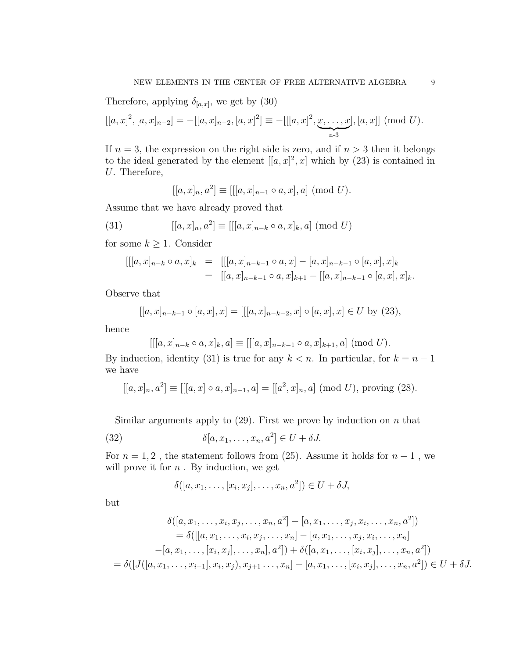Therefore, applying  $\delta_{[a,x]}$ , we get by (30)

$$
[[a, x]^2, [a, x]_{n-2}] = -[[a, x]_{n-2}, [a, x]^2] \equiv -[[[a, x]^2, \underbrace{x, \dots, x}_{n-3}], [a, x]] \pmod{U}.
$$

If  $n = 3$ , the expression on the right side is zero, and if  $n > 3$  then it belongs to the ideal generated by the element  $[[a, x]^2, x]$  which by (23) is contained in U. Therefore,

$$
[[a, x]_n, a^2] \equiv [[[a, x]_{n-1} \circ a, x], a] \pmod{U}.
$$

Assume that we have already proved that

(31) 
$$
[[a, x]_n, a^2] \equiv [[[a, x]_{n-k} \circ a, x]_k, a] \pmod{U}
$$

for some  $k \geq 1$ . Consider

$$
\begin{array}{rcl}\n[[[a,x]_{n-k} \circ a,x]_k & = & [[[a,x]_{n-k-1} \circ a,x] - [a,x]_{n-k-1} \circ [a,x],x]_k \\
& = & [[a,x]_{n-k-1} \circ a,x]_{k+1} - [[a,x]_{n-k-1} \circ [a,x],x]_k.\n\end{array}
$$

Observe that

$$
[[a, x]_{n-k-1} \circ [a, x], x] = [[[a, x]_{n-k-2}, x] \circ [a, x], x] \in U
$$
 by (23),

hence

$$
[[[a, x]_{n-k} \circ a, x]_k, a] \equiv [[[a, x]_{n-k-1} \circ a, x]_{k+1}, a] \pmod{U}.
$$

By induction, identity (31) is true for any  $k < n$ . In particular, for  $k = n - 1$ we have

$$
[[a, x]_n, a^2] \equiv [[[a, x] \circ a, x]_{n-1}, a] = [[a^2, x]_n, a] \pmod{U}, \text{ proving (28)}.
$$

Similar arguments apply to  $(29)$ . First we prove by induction on n that

(32) 
$$
\delta[a, x_1, \dots, x_n, a^2] \in U + \delta J.
$$

For  $n = 1, 2$ , the statement follows from (25). Assume it holds for  $n - 1$ , we will prove it for  $n$ . By induction, we get

$$
\delta([a, x_1, \ldots, [x_i, x_j], \ldots, x_n, a^2]) \in U + \delta J,
$$

but

$$
\delta([a, x_1, \dots, x_i, x_j, \dots, x_n, a^2] - [a, x_1, \dots, x_j, x_i, \dots, x_n, a^2])
$$
  
=  $\delta([[a, x_1, \dots, x_i, x_j, \dots, x_n] - [a, x_1, \dots, x_j, x_i, \dots, x_n]$   
 $-[a, x_1, \dots, [x_i, x_j], \dots, x_n], a^2]) + \delta([a, x_1, \dots, [x_i, x_j], \dots, x_n, a^2])$   
=  $\delta([J([a, x_1, \dots, x_{i-1}], x_i, x_j), x_{j+1}, \dots, x_n] + [a, x_1, \dots, [x_i, x_j], \dots, x_n, a^2]) \in U + \delta J.$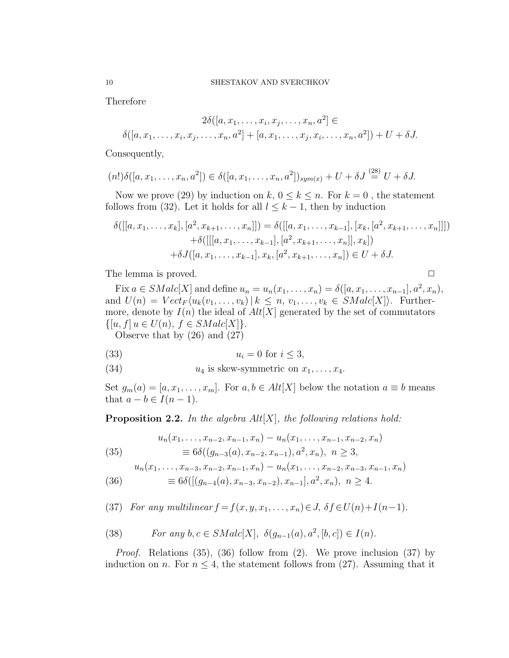Therefore

$$
2\delta([a, x_1, \dots, x_i, x_j, \dots, x_n, a^2] \in
$$
  

$$
\delta([a, x_1, \dots, x_i, x_j, \dots, x_n, a^2] + [a, x_1, \dots, x_j, x_i, \dots, x_n, a^2]) + U + \delta J.
$$

Consequently,

$$
(n!) \delta([a, x_1, \ldots, x_n, a^2]) \in \delta([a, x_1, \ldots, x_n, a^2])_{sym(x)} + U + \delta J \stackrel{(28)}{=} U + \delta J.
$$

Now we prove (29) by induction on k,  $0 \le k \le n$ . For  $k = 0$ , the statement follows from (32). Let it holds for all  $l \leq k-1$ , then by induction

$$
\delta([[a, x_1, \ldots, x_k], [a^2, x_{k+1}, \ldots, x_n]]) = \delta([[a, x_1, \ldots, x_{k-1}], [x_k, [a^2, x_{k+1}, \ldots, x_n]]]) \n+ \delta([[[a, x_1, \ldots, x_{k-1}], [a^2, x_{k+1}, \ldots, x_n]], x_k]) \n+ \delta J([a, x_1, \ldots, x_{k-1}], x_k, [a^2, x_{k+1}, \ldots, x_n]) \in U + \delta J.
$$

The lemma is proved.

$$
\qquad \qquad \Box
$$

Fix  $a \in SMalc[X]$  and define  $u_n = u_n(x_1, ..., x_n) = \delta([a, x_1, ..., x_{n-1}], a^2, x_n)$ , and  $U(n) = Vect_F \langle u_k(v_1, \ldots, v_k) | k \leq n, v_1, \ldots, v_k \in SMALL[X] \rangle$ . Furthermore, denote by  $I(n)$  the ideal of  $Alt[X]$  generated by the set of commutators  $\{[u, f] | u \in U(n), f \in SMale[X]\}.$ 

Observe that by (26) and (27)

(33) u<sup>i</sup> = 0 for i ≤ 3,

(34)  $u_4$  is skew-symmetric on  $x_1, \ldots, x_4$ .

Set  $g_m(a) = [a, x_1, \ldots, x_m]$ . For  $a, b \in Alt[X]$  below the notation  $a \equiv b$  means that  $a - b \in I(n - 1)$ .

Proposition 2.2. *In the algebra* Alt[X]*, the following relations hold:*

(35) 
$$
u_n(x_1,...,x_{n-2},x_{n-1},x_n) - u_n(x_1,...,x_{n-1},x_{n-2},x_n)
$$

$$
\equiv 6\delta((g_{n-3}(a),x_{n-2},x_{n-1}),a^2,x_n), n \ge 3,
$$

$$
u_n(x_1, \ldots, x_{n-3}, x_{n-2}, x_{n-1}, x_n) - u_n(x_1, \ldots, x_{n-2}, x_{n-3}, x_{n-1}, x_n)
$$

(36) 
$$
\equiv 6\delta([(g_{n-4}(a), x_{n-3}, x_{n-2}), x_{n-1}], a^2, x_n), \quad n \ge 4.
$$

(37) *For any multilinear*  $f = f(x, y, x_1, \ldots, x_n) \in J$ ,  $\delta f \in U(n) + I(n-1)$ .

(38) For any 
$$
b, c \in SMalc[X], \ \delta(g_{n-1}(a), a^2, [b, c]) \in I(n)
$$
.

*Proof.* Relations (35), (36) follow from (2). We prove inclusion (37) by induction on n. For  $n \leq 4$ , the statement follows from (27). Assuming that it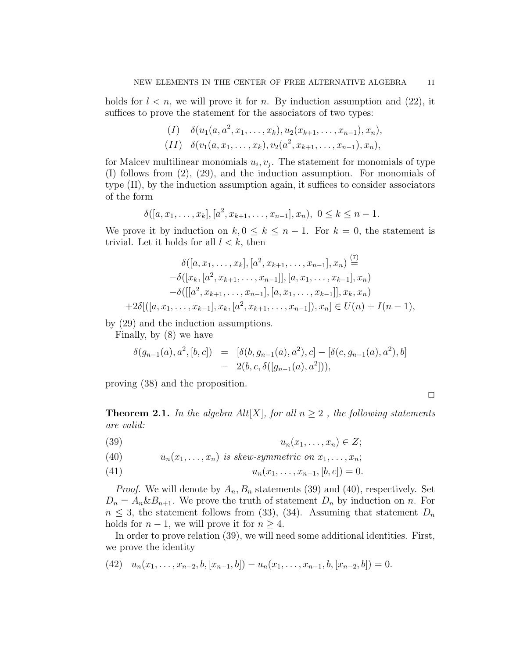holds for  $l < n$ , we will prove it for n. By induction assumption and (22), it suffices to prove the statement for the associators of two types:

$$
(I) \quad \delta(u_1(a, a^2, x_1, \ldots, x_k), u_2(x_{k+1}, \ldots, x_{n-1}), x_n),
$$
  

$$
(II) \quad \delta(v_1(a, x_1, \ldots, x_k), v_2(a^2, x_{k+1}, \ldots, x_{n-1}), x_n),
$$

for Malcev multilinear monomials  $u_i, v_j$ . The statement for monomials of type (I) follows from (2), (29), and the induction assumption. For monomials of type (II), by the induction assumption again, it suffices to consider associators of the form

$$
\delta([a, x_1, \ldots, x_k], [a^2, x_{k+1}, \ldots, x_{n-1}], x_n), \ 0 \le k \le n-1.
$$

We prove it by induction on  $k, 0 \leq k \leq n-1$ . For  $k = 0$ , the statement is trivial. Let it holds for all  $l < k$ , then

 $(7)$ 

$$
\delta([a, x_1, \ldots, x_k], [a^2, x_{k+1}, \ldots, x_{n-1}], x_n) \stackrel{(i)}{=} \n- \delta([x_k, [a^2, x_{k+1}, \ldots, x_{n-1}]], [a, x_1, \ldots, x_{k-1}], x_n) \n- \delta([[a^2, x_{k+1}, \ldots, x_{n-1}], [a, x_1, \ldots, x_{k-1}]], x_k, x_n) \n+ 2\delta[((a, x_1, \ldots, x_{k-1}], x_k, [a^2, x_{k+1}, \ldots, x_{n-1}]), x_n] \in U(n) + I(n - 1),
$$

by (29) and the induction assumptions.

Finally, by (8) we have

$$
\delta(g_{n-1}(a), a^2, [b, c]) = [\delta(b, g_{n-1}(a), a^2), c] - [\delta(c, g_{n-1}(a), a^2), b] - 2(b, c, \delta([g_{n-1}(a), a^2])),
$$

proving (38) and the proposition.

$$
\Box
$$

**Theorem 2.1.** In the algebra  $Alt[X]$ , for all  $n \geq 2$ , the following statements *are valid:*

$$
(39) \t\t\t u_n(x_1,\ldots,x_n) \in Z;
$$

(40) 
$$
u_n(x_1,\ldots,x_n) \text{ is skew-symmetric on } x_1,\ldots,x_n;
$$

(41) 
$$
u_n(x_1,\ldots,x_{n-1},[b,c])=0.
$$

*Proof.* We will denote by  $A_n$ ,  $B_n$  statements (39) and (40), respectively. Set  $D_n = A_n \& B_{n+1}$ . We prove the truth of statement  $D_n$  by induction on n. For  $n \leq 3$ , the statement follows from (33), (34). Assuming that statement  $D_n$ holds for  $n-1$ , we will prove it for  $n \geq 4$ .

In order to prove relation (39), we will need some additional identities. First, we prove the identity

$$
(42) \quad u_n(x_1,\ldots,x_{n-2},b,[x_{n-1},b])-u_n(x_1,\ldots,x_{n-1},b,[x_{n-2},b])=0.
$$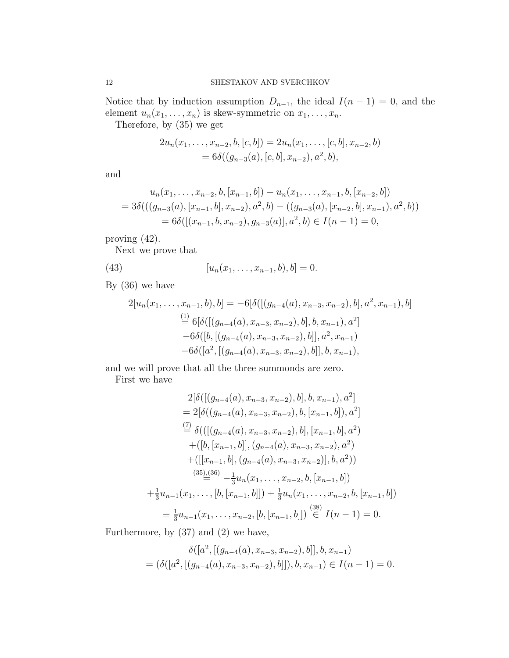Notice that by induction assumption  $D_{n-1}$ , the ideal  $I(n-1) = 0$ , and the element  $u_n(x_1, \ldots, x_n)$  is skew-symmetric on  $x_1, \ldots, x_n$ .

Therefore, by (35) we get

$$
2u_n(x_1,\ldots,x_{n-2},b,[c,b]) = 2u_n(x_1,\ldots,[c,b],x_{n-2},b)
$$
  
=  $6\delta((g_{n-3}(a),[c,b],x_{n-2}),a^2,b),$ 

and

$$
u_n(x_1, \ldots, x_{n-2}, b, [x_{n-1}, b]) - u_n(x_1, \ldots, x_{n-1}, b, [x_{n-2}, b])
$$
  
=  $3\delta(((g_{n-3}(a), [x_{n-1}, b], x_{n-2}), a^2, b) - ((g_{n-3}(a), [x_{n-2}, b], x_{n-1}), a^2, b))$   
=  $6\delta([(x_{n-1}, b, x_{n-2}), g_{n-3}(a)], a^2, b) \in I(n-1) = 0,$ 

proving (42).

Next we prove that

(43) 
$$
[u_n(x_1,...,x_{n-1},b),b]=0.
$$

By (36) we have

$$
2[u_n(x_1,...,x_{n-1},b),b] = -6[\delta([[g_{n-4}(a),x_{n-3},x_{n-2}),b],a^2,x_{n-1}),b]
$$
  
\n
$$
\stackrel{(1)}{=} 6[\delta([[g_{n-4}(a),x_{n-3},x_{n-2}),b],b,x_{n-1}),a^2]
$$
  
\n
$$
-6\delta([b,[(g_{n-4}(a),x_{n-3},x_{n-2}),b]],a^2,x_{n-1})
$$
  
\n
$$
-6\delta([a^2,[(g_{n-4}(a),x_{n-3},x_{n-2}),b]],b,x_{n-1}),
$$

and we will prove that all the three summonds are zero.

First we have

$$
2[\delta([[g_{n-4}(a), x_{n-3}, x_{n-2}), b], b, x_{n-1}), a^2]
$$
  
=  $2[\delta((g_{n-4}(a), x_{n-3}, x_{n-2}), b, [x_{n-1}, b]), a^2]$   

$$
\stackrel{(7)}{=} \delta([[(g_{n-4}(a), x_{n-3}, x_{n-2}), b], [x_{n-1}, b], a^2)
$$

$$
+([b, [x_{n-1}, b]], (g_{n-4}(a), x_{n-3}, x_{n-2}), a^2)
$$

$$
+([[x_{n-1}, b], (g_{n-4}(a), x_{n-3}, x_{n-2})], b, a^2))
$$

$$
\stackrel{(35),(36)}{=} -\frac{1}{3}u_n(x_1, \dots, x_{n-2}, b, [x_{n-1}, b])
$$

$$
+\frac{1}{3}u_{n-1}(x_1, \dots, [b, [x_{n-1}, b]]) + \frac{1}{3}u_n(x_1, \dots, x_{n-2}, b, [x_{n-1}, b])
$$

$$
= \frac{1}{3}u_{n-1}(x_1, \dots, x_{n-2}, [b, [x_{n-1}, b]]) \stackrel{(38)}{\in} I(n-1) = 0.
$$

Furthermore, by (37) and (2) we have,

$$
\delta([a^2, [(g_{n-4}(a), x_{n-3}, x_{n-2}), b]], b, x_{n-1})
$$
  
=  $(\delta([a^2, [(g_{n-4}(a), x_{n-3}, x_{n-2}), b]]), b, x_{n-1}) \in I(n-1) = 0.$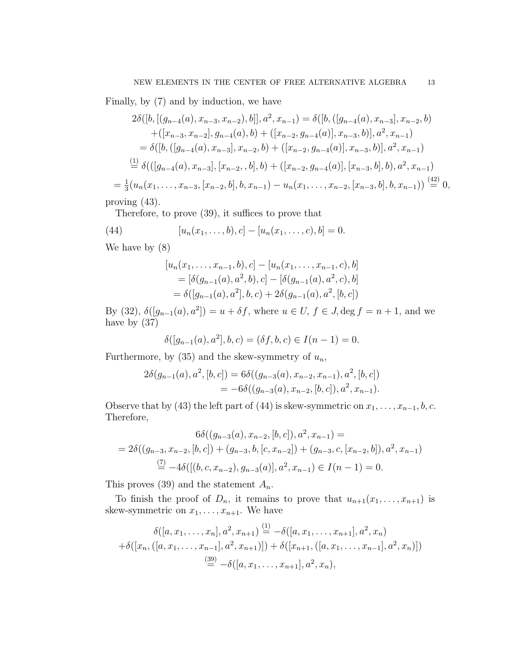Finally, by (7) and by induction, we have

$$
2\delta([b, [(g_{n-4}(a), x_{n-3}, x_{n-2}), b]], a^2, x_{n-1}) = \delta([b, ([g_{n-4}(a), x_{n-3}], x_{n-2}, b)+([x_{n-3}, x_{n-2}], g_{n-4}(a), b) + ([x_{n-2}, g_{n-4}(a)], x_{n-3}, b)], a^2, x_{n-1})
$$
  
=  $\delta([b, ([g_{n-4}(a), x_{n-3}], x_{n-2}, b) + ([x_{n-2}, g_{n-4}(a)], x_{n-3}, b)], a^2, x_{n-1})$   

$$
\stackrel{(1)}{=} \delta(([g_{n-4}(a), x_{n-3}], [x_{n-2}, b], b) + ([x_{n-2}, g_{n-4}(a)], [x_{n-3}, b], b), a^2, x_{n-1})
$$
  
=  $\frac{1}{3}(u_n(x_1, \ldots, x_{n-3}, [x_{n-2}, b], b, x_{n-1}) - u_n(x_1, \ldots, x_{n-2}, [x_{n-3}, b], b, x_{n-1})) \stackrel{(42)}{=} 0,$ 

proving (43).

Therefore, to prove (39), it suffices to prove that

(44) 
$$
[u_n(x_1,...,b),c] - [u_n(x_1,...,c),b] = 0.
$$

We have by (8)

$$
[u_n(x_1,...,x_{n-1},b),c] - [u_n(x_1,...,x_{n-1},c),b]
$$
  
=  $[\delta(g_{n-1}(a),a^2,b),c] - [\delta(g_{n-1}(a),a^2,c),b]$   
=  $\delta([g_{n-1}(a),a^2],b,c) + 2\delta(g_{n-1}(a),a^2,[b,c])$ 

By (32),  $\delta([g_{n-1}(a), a^2]) = u + \delta f$ , where  $u \in U$ ,  $f \in J$ ,  $\deg f = n + 1$ , and we have by (37)

$$
\delta([g_{n-1}(a), a^2], b, c) = (\delta f, b, c) \in I(n-1) = 0.
$$

Furthermore, by  $(35)$  and the skew-symmetry of  $u_n$ ,

$$
2\delta(g_{n-1}(a), a^2, [b, c]) = 6\delta((g_{n-3}(a), x_{n-2}, x_{n-1}), a^2, [b, c])
$$
  
=  $-6\delta((g_{n-3}(a), x_{n-2}, [b, c]), a^2, x_{n-1}).$ 

Observe that by (43) the left part of (44) is skew-symmetric on  $x_1, \ldots, x_{n-1}, b, c$ . Therefore,

$$
6\delta((g_{n-3}(a), x_{n-2}, [b, c]), a^2, x_{n-1}) =
$$
  
=  $2\delta((g_{n-3}, x_{n-2}, [b, c]) + (g_{n-3}, b, [c, x_{n-2}]) + (g_{n-3}, c, [x_{n-2}, b]), a^2, x_{n-1})$   

$$
\stackrel{(7)}{=} -4\delta([(b, c, x_{n-2}), g_{n-3}(a)], a^2, x_{n-1}) \in I(n-1) = 0.
$$

This proves (39) and the statement  $A_n$ .

To finish the proof of  $D_n$ , it remains to prove that  $u_{n+1}(x_1, \ldots, x_{n+1})$  is skew-symmetric on  $x_1, \ldots, x_{n+1}$ . We have

$$
\delta([a, x_1, \dots, x_n], a^2, x_{n+1}) \stackrel{(1)}{=} -\delta([a, x_1, \dots, x_{n+1}], a^2, x_n)
$$

$$
+\delta([x_n, ([a, x_1, \dots, x_{n-1}], a^2, x_{n+1})]) + \delta([x_{n+1}, ([a, x_1, \dots, x_{n-1}], a^2, x_n)])
$$

$$
\stackrel{(39)}{=} -\delta([a, x_1, \dots, x_{n+1}], a^2, x_n),
$$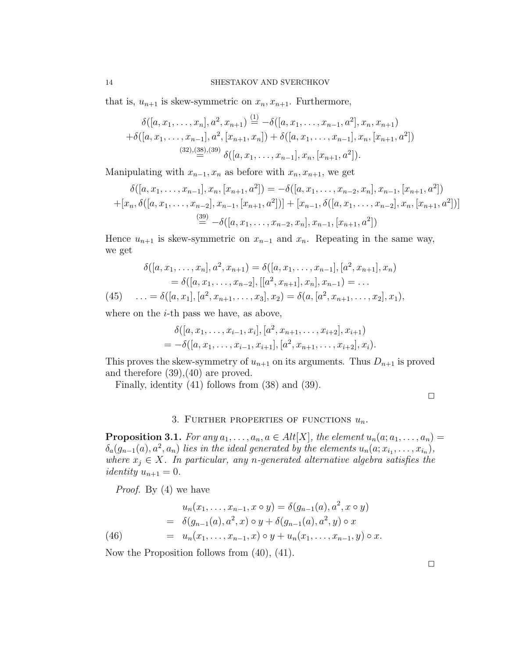that is,  $u_{n+1}$  is skew-symmetric on  $x_n, x_{n+1}$ . Furthermore,

$$
\delta([a, x_1, \dots, x_n], a^2, x_{n+1}) \stackrel{(1)}{=} -\delta([a, x_1, \dots, x_{n-1}, a^2], x_n, x_{n+1})
$$

$$
+\delta([a, x_1, \dots, x_{n-1}], a^2, [x_{n+1}, x_n]) + \delta([a, x_1, \dots, x_{n-1}], x_n, [x_{n+1}, a^2])
$$

$$
\stackrel{(32),(38),(39)}{=} \delta([a, x_1, \dots, x_{n-1}], x_n, [x_{n+1}, a^2]).
$$

Manipulating with  $x_{n-1}, x_n$  as before with  $x_n, x_{n+1}$ , we get

$$
\delta([a, x_1, \dots, x_{n-1}], x_n, [x_{n+1}, a^2]) = -\delta([a, x_1, \dots, x_{n-2}, x_n], x_{n-1}, [x_{n+1}, a^2])
$$

$$
+ [x_n, \delta([a, x_1, \dots, x_{n-2}], x_{n-1}, [x_{n+1}, a^2])] + [x_{n-1}, \delta([a, x_1, \dots, x_{n-2}], x_n, [x_{n+1}, a^2])]
$$

$$
\stackrel{(39)}{=} -\delta([a, x_1, \dots, x_{n-2}, x_n], x_{n-1}, [x_{n+1}, a^2])
$$

Hence  $u_{n+1}$  is skew-symmetric on  $x_{n-1}$  and  $x_n$ . Repeating in the same way, we get

$$
\delta([a, x_1, \dots, x_n], a^2, x_{n+1}) = \delta([a, x_1, \dots, x_{n-1}], [a^2, x_{n+1}], x_n)
$$
  
=  $\delta([a, x_1, \dots, x_{n-2}], [[a^2, x_{n+1}], x_n], x_{n-1}) = \dots$   
(45)  $\dots = \delta([a, x_1], [a^2, x_{n+1}, \dots, x_3], x_2) = \delta(a, [a^2, x_{n+1}, \dots, x_2], x_1),$ 

where on the  $i$ -th pass we have, as above,

$$
\delta([a, x_1, \ldots, x_{i-1}, x_i], [a^2, x_{n+1}, \ldots, x_{i+2}], x_{i+1})
$$
  
=  $-\delta([a, x_1, \ldots, x_{i-1}, x_{i+1}], [a^2, x_{n+1}, \ldots, x_{i+2}], x_i).$ 

This proves the skew-symmetry of  $u_{n+1}$  on its arguments. Thus  $D_{n+1}$  is proved and therefore (39),(40) are proved.

Finally, identity (41) follows from (38) and (39).

### 3. FURTHER PROPERTIES OF FUNCTIONS  $u_n$ .

**Proposition 3.1.** *For any*  $a_1, \ldots, a_n, a \in Alt[X]$ *, the element*  $u_n(a; a_1, \ldots, a_n)$  $\delta_a(g_{n-1}(a), a^2, a_n)$  lies in the ideal generated by the elements  $u_n(a; x_{i_1}, \ldots, x_{i_n})$ , *where*  $x_j \in X$ *. In particular, any n-generated alternative algebra satisfies the identity*  $u_{n+1} = 0$ .

*Proof.* By (4) we have

(46) 
$$
u_n(x_1, \ldots, x_{n-1}, x \circ y) = \delta(g_{n-1}(a), a^2, x \circ y)
$$

$$
= \delta(g_{n-1}(a), a^2, x) \circ y + \delta(g_{n-1}(a), a^2, y) \circ x
$$

$$
= u_n(x_1, \ldots, x_{n-1}, x) \circ y + u_n(x_1, \ldots, x_{n-1}, y) \circ x.
$$

Now the Proposition follows from (40), (41).

 $\Box$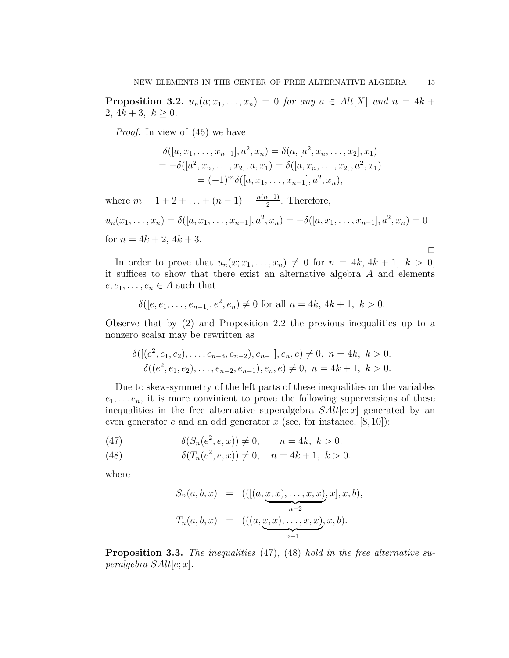**Proposition 3.2.**  $u_n(a; x_1, \ldots, x_n) = 0$  *for any*  $a \in Alt[X]$  *and*  $n = 4k +$ 2,  $4k+3, k \geq 0$ .

*Proof.* In view of (45) we have

$$
\delta([a, x_1, \dots, x_{n-1}], a^2, x_n) = \delta(a, [a^2, x_n, \dots, x_2], x_1)
$$
  
=  $-\delta([a^2, x_n, \dots, x_2], a, x_1) = \delta([a, x_n, \dots, x_2], a^2, x_1)$   
=  $(-1)^m \delta([a, x_1, \dots, x_{n-1}], a^2, x_n),$ 

where  $m = 1 + 2 + ... + (n - 1) = \frac{n(n-1)}{2}$ . Therefore,

$$
u_n(x_1,\ldots,x_n) = \delta([a,x_1,\ldots,x_{n-1}],a^2,x_n) = -\delta([a,x_1,\ldots,x_{n-1}],a^2,x_n) = 0
$$
  
for  $n = 4k + 2$ ,  $4k + 3$ .

In order to prove that  $u_n(x; x_1, \ldots, x_n) \neq 0$  for  $n = 4k, 4k + 1, k > 0$ , it suffices to show that there exist an alternative algebra  $A$  and elements  $e, e_1, \ldots, e_n \in A$  such that

$$
\delta([e, e_1, \ldots, e_{n-1}], e^2, e_n) \neq 0
$$
 for all  $n = 4k, 4k + 1, k > 0$ .

Observe that by (2) and Proposition 2.2 the previous inequalities up to a nonzero scalar may be rewritten as

$$
\delta([[e2, e1, e2), ..., en-3, en-2), en-1], en, e) \neq 0, n = 4k, k > 0.
$$
  

$$
\delta((e2, e1, e2), ..., en-2, en-1), en, e) \neq 0, n = 4k + 1, k > 0.
$$

Due to skew-symmetry of the left parts of these inequalities on the variables  $e_1, \ldots e_n$ , it is more convinient to prove the following superversions of these inequalities in the free alternative superalgebra  $SAlt[e; x]$  generated by an even generator e and an odd generator x (see, for instance,  $[8, 10]$ ):

(47) 
$$
\delta(S_n(e^2, e, x)) \neq 0, \qquad n = 4k, \ k > 0.
$$

(48) 
$$
\delta(T_n(e^2, e, x)) \neq 0, \quad n = 4k + 1, \ k > 0.
$$

where

$$
S_n(a, b, x) = (([(a, \underbrace{x, x), \dots, x, x}_{n-2}), x], x, b),
$$
  
\n
$$
T_n(a, b, x) = (((a, \underbrace{x, x), \dots, x, x}_{n-1}), x, b).
$$

Proposition 3.3. *The inequalities* (47)*,* (48) *hold in the free alternative superalgebra* SAlt[e; x]*.*

 $\Box$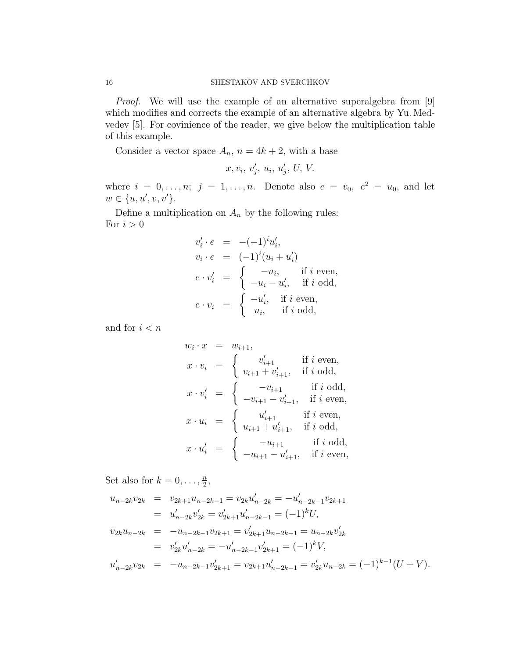*Proof.* We will use the example of an alternative superalgebra from [9] which modifies and corrects the example of an alternative algebra by Yu. Medvedev [5]. For covinience of the reader, we give below the multiplication table of this example.

Consider a vector space  $A_n$ ,  $n = 4k + 2$ , with a base

$$
x, v_i, v'_j, u_i, u'_j, U, V.
$$

where  $i = 0, ..., n; j = 1, ..., n$ . Denote also  $e = v_0, e^2 = u_0$ , and let  $w \in \{u, u', v, v'\}.$ 

Define a multiplication on  $A_n$  by the following rules: For  $i > 0$ 

$$
v'_i \cdot e = -(-1)^i u'_i,
$$
  
\n
$$
v_i \cdot e = (-1)^i (u_i + u'_i)
$$
  
\n
$$
e \cdot v'_i = \begin{cases} -u_i, & \text{if } i \text{ even,} \\ -u_i - u'_i, & \text{if } i \text{ odd,} \end{cases}
$$
  
\n
$$
e \cdot v_i = \begin{cases} -u'_i, & \text{if } i \text{ even,} \\ u_i, & \text{if } i \text{ odd,} \end{cases}
$$

and for  $i < n$ 

$$
w_i \cdot x = w_{i+1},
$$
  
\n
$$
x \cdot v_i = \begin{cases} v'_{i+1} & \text{if } i \text{ even,} \\ v_{i+1} + v'_{i+1}, & \text{if } i \text{ odd,} \end{cases}
$$
  
\n
$$
x \cdot v'_i = \begin{cases} -v_{i+1} & \text{if } i \text{ odd,} \\ -v_{i+1} - v'_{i+1}, & \text{if } i \text{ even,} \end{cases}
$$
  
\n
$$
x \cdot u_i = \begin{cases} u'_{i+1} & \text{if } i \text{ even,} \\ u_{i+1} + u'_{i+1}, & \text{if } i \text{ odd,} \end{cases}
$$
  
\n
$$
x \cdot u'_i = \begin{cases} -u_{i+1} & \text{if } i \text{ odd,} \\ -u_{i+1} - u'_{i+1}, & \text{if } i \text{ even,} \end{cases}
$$

Set also for  $k = 0, \ldots, \frac{n}{2}$  $\frac{n}{2}$ 

$$
u_{n-2k}v_{2k} = v_{2k+1}u_{n-2k-1} = v_{2k}u'_{n-2k} = -u'_{n-2k-1}v_{2k+1}
$$
  
\n
$$
= u'_{n-2k}v'_{2k} = v'_{2k+1}u'_{n-2k-1} = (-1)^{k}U,
$$
  
\n
$$
v_{2k}u_{n-2k} = -u_{n-2k-1}v_{2k+1} = v'_{2k+1}u_{n-2k-1} = u_{n-2k}v'_{2k}
$$
  
\n
$$
= v'_{2k}u'_{n-2k} = -u'_{n-2k-1}v'_{2k+1} = (-1)^{k}V,
$$
  
\n
$$
u'_{n-2k}v_{2k} = -u_{n-2k-1}v'_{2k+1} = v_{2k+1}u'_{n-2k-1} = v'_{2k}u_{n-2k} = (-1)^{k-1}(U + V).
$$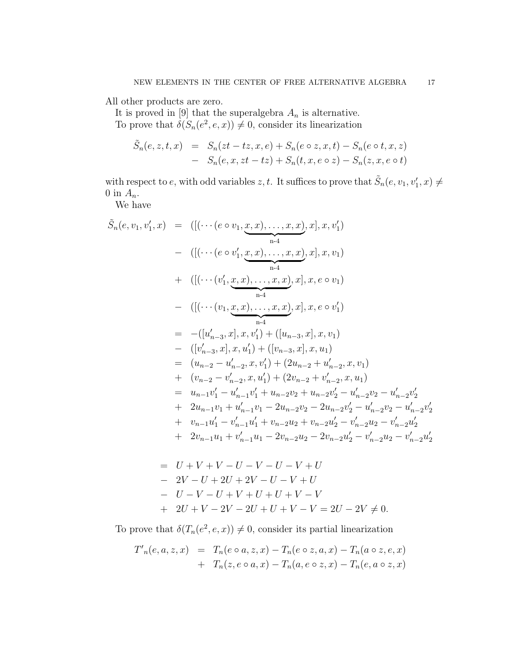All other products are zero.

It is proved in [9] that the superalgebra  $A_n$  is alternative. To prove that  $\delta(S_n(e^2, e, x)) \neq 0$ , consider its linearization

$$
\tilde{S}_n(e, z, t, x) = S_n(zt - tz, x, e) + S_n(e \circ z, x, t) - S_n(e \circ t, x, z) \n- S_n(e, x, zt - tz) + S_n(t, x, e \circ z) - S_n(z, x, e \circ t)
$$

with respect to e, with odd variables z, t. It suffices to prove that  $\tilde{S}_n(e, v_1, v'_1, x) \neq$ 0 in  $A_n$ .

We have

$$
\tilde{S}_n(e, v_1, v'_1, x) = ([(\cdots (e \circ v_1, \underbrace{x, x), \dots, x, x}_{n-4}, x], x, v'_1)
$$
\n
$$
- ([(\cdots (e \circ v'_1, \underbrace{x, x), \dots, x, x}_{n-4}), x], x, v_1)
$$
\n
$$
+ ([(\cdots (v'_1, \underbrace{x, x), \dots, x, x}_{n-4}), x], x, e \circ v_1)
$$
\n
$$
- ([(\cdots (v_1, \underbrace{x, x), \dots, x, x}_{n-4}), x], x, e \circ v'_1)
$$
\n
$$
= - ([u'_{n-3}, x], x, v'_1) + ([u_{n-3}, x], x, v_1)
$$
\n
$$
- (v'_{n-3}, x], x, u'_1) + ([v_{n-3}, x], x, u_1)
$$
\n
$$
= (u_{n-2} - u'_{n-2}, x, v'_1) + (2u_{n-2} + u'_{n-2}, x, v_1)
$$
\n
$$
+ (v_{n-2} - v'_{n-2}, x, u'_1) + (2v_{n-2} + v'_{n-2}, x, u_1)
$$
\n
$$
= u_{n-1}v'_1 - u'_{n-1}v'_1 + u_{n-2}v_2 + u_{n-2}v'_2 - u'_{n-2}v_2 - u'_{n-2}v'_2
$$
\n
$$
+ 2u_{n-1}v_1 + u'_{n-1}v_1 - 2u_{n-2}v_2 - 2u_{n-2}v'_2 - u'_{n-2}v_2 - u'_{n-2}v'_2
$$
\n
$$
+ v_{n-1}u'_1 - v'_{n-1}u'_1 + v_{n-2}u_2 + v_{n-2}u'_2 - v'_{n-2}u_2 - v'_{n-2}u'_2
$$
\n
$$
+ 2v_{n-1}u_1 + v'_{n-1}u_1 - 2v_{n-2}u_2 - 2v_{n-2}u'_2 - v'_{n-2}u_2 - v'_{n-2}u'_2
$$

$$
= U + V + V - U - V - U - V + U
$$
  
\n
$$
- 2V - U + 2U + 2V - U - V + U
$$
  
\n
$$
- U - V - U + V + U + V - V
$$
  
\n
$$
+ 2U + V - 2V - 2U + U + V - V = 2U - 2V \neq 0.
$$

To prove that  $\delta(T_n(e^2, e, x)) \neq 0$ , consider its partial linearization

$$
T'_{n}(e, a, z, x) = T_{n}(e \circ a, z, x) - T_{n}(e \circ z, a, x) - T_{n}(a \circ z, e, x) + T_{n}(z, e \circ a, x) - T_{n}(a, e \circ z, x) - T_{n}(e, a \circ z, x)
$$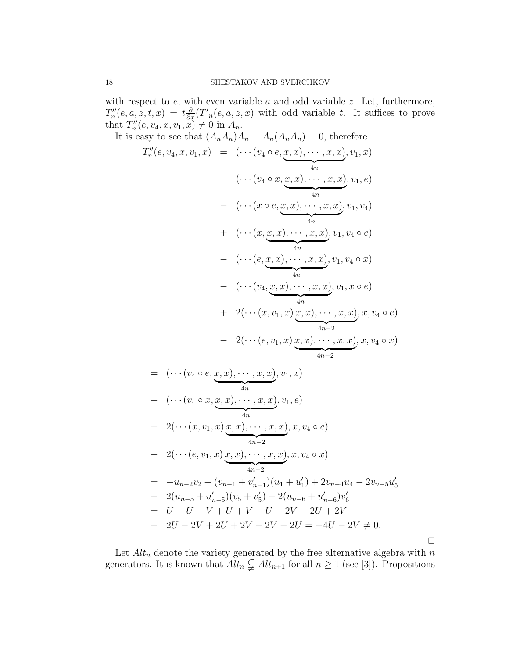with respect to  $e$ , with even variable  $a$  and odd variable  $z$ . Let, furthermore,  $T''_n$  $\partial_n''(e, a, z, t, x) = t \frac{\partial}{\partial x}(T'_n(e, a, z, x))$  with odd variable t. It suffices to prove that  $T''_n$  $u_n''(e, v_4, x, v_1, x) \neq 0$  in  $A_n$ .

It is easy to see that  $(A_nA_n)A_n = A_n(A_nA_n) = 0$ , therefore  $T''_n$  $\mathcal{L}_n''(e, v_4, x, v_1, x) = (\cdots (v_4 \circ e, x, x), \cdots, x, x)$  $\frac{4n}{4}$  $, v_1, x)$  $- \quad (\cdots (v_4\circ x,x,x), \cdots, x,x)$  $\frac{4n}{4}$  $, v_1, e)$  $- \quad (\cdots (x \circ e, x, x), \cdots, x, x)$  $\frac{1}{4n}$  $, v_1, v_4)$  $+ \quad (\cdots (x, x, x), \cdots, x, x)$  $\frac{1}{4n}$  $, v_1, v_4 \circ e)$  $- \left( \cdots (e, x, x), \cdots, x, x \right)$  $\frac{1}{4n}$  $, v_1, v_4 \circ x)$  $- \quad (\cdots (v_4, x, x), \cdots, x, x)$  $\frac{4n}{\sqrt{2}}$ 4n  $, v_1, x \circ e)$  $+ 2(\cdots(x, v_1, x) x, x), \cdots, x, x)$  $\frac{4n-2}{2}$  $, x, v_4 \circ e)$  $- 2(\cdots(e, v_1, x) x, x), \cdots, x, x)$  $\frac{4n-2}{2}$  $, x, v_4 \circ x)$ 

$$
= (\cdots (v_4 \circ e, \underbrace{x, x), \cdots, x, x}_{4n}), v_1, x)
$$
  
\n
$$
- (\cdots (v_4 \circ x, \underbrace{x, x), \cdots, x, x}_{4n}), v_1, e)
$$
  
\n
$$
+ 2(\cdots (x, v_1, x) \underbrace{x, x), \cdots, x, x}_{4n-2}), x, v_4 \circ e)
$$
  
\n
$$
- 2(\cdots (e, v_1, x) \underbrace{x, x), \cdots, x, x}_{4n-2}), x, v_4 \circ x)
$$
  
\n
$$
= -u_{n-2}v_2 - (v_{n-1} + v'_{n-1})(u_1 + u'_1) + 2v_{n-4}u_4 - 2v_{n-5}u'_5
$$
  
\n
$$
- 2(u_{n-5} + u'_{n-5})(v_5 + v'_5) + 2(u_{n-6} + u'_{n-6})v'_6
$$
  
\n
$$
= U - U - V + U + V - U - 2V - 2U + 2V
$$
  
\n
$$
- 2U - 2V + 2U + 2V - 2V - 2U = -4U - 2V \neq 0.
$$

 $\Box$ 

Let  $Alt_n$  denote the variety generated by the free alternative algebra with n generators. It is known that  $Alt_n \subsetneq Alt_{n+1}$  for all  $n \geq 1$  (see [3]). Propositions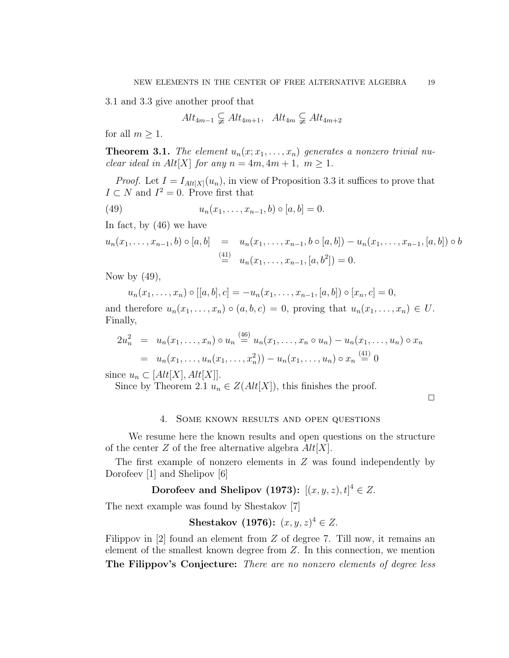3.1 and 3.3 give another proof that

$$
Alt_{4m-1} \subsetneq Alt_{4m+1}, Alt_{4m} \subsetneq Alt_{4m+2}
$$

for all  $m \geq 1$ .

**Theorem 3.1.** The element  $u_n(x; x_1, \ldots, x_n)$  generates a nonzero trivial nu*clear ideal in Alt*[X] *for any*  $n = 4m, 4m + 1, m \ge 1$ *.* 

*Proof.* Let  $I = I_{Alt[X]}(u_n)$ , in view of Proposition 3.3 it suffices to prove that  $I \subset N$  and  $I^2 = 0$ . Prove first that

(49) 
$$
u_n(x_1,...,x_{n-1},b) \circ [a,b] = 0.
$$

In fact, by (46) we have

$$
u_n(x_1, \ldots, x_{n-1}, b) \circ [a, b] = u_n(x_1, \ldots, x_{n-1}, b \circ [a, b]) - u_n(x_1, \ldots, x_{n-1}, [a, b]) \circ b
$$
  
\n
$$
\stackrel{\text{(41)}}{=} u_n(x_1, \ldots, x_{n-1}, [a, b^2]) = 0.
$$

Now by  $(49)$ ,

 $u_n(x_1,\ldots,x_n)\circ[[a,b],c] = -u_n(x_1,\ldots,x_{n-1},[a,b])\circ[x_n,c] = 0,$ and therefore  $u_n(x_1,\ldots,x_n) \circ (a,b,c) = 0$ , proving that  $u_n(x_1,\ldots,x_n) \in U$ .

Finally,  $(4c)$ 

$$
2u_n^2 = u_n(x_1, ..., x_n) \circ u_n \stackrel{\text{(40)}}{=} u_n(x_1, ..., x_n \circ u_n) - u_n(x_1, ..., u_n) \circ x_n
$$
  
=  $u_n(x_1, ..., u_n(x_1, ..., x_n^2)) - u_n(x_1, ..., u_n) \circ x_n \stackrel{\text{(41)}}{=} 0$ 

since  $u_n \subset [Alt[X], Alt[X]].$ 

Since by Theorem 2.1  $u_n \in Z(Alt[X])$ , this finishes the proof.

 $\Box$ 

### 4. Some known results and open questions

We resume here the known results and open questions on the structure of the center Z of the free alternative algebra  $Alt[X]$ .

The first example of nonzero elements in Z was found independently by Dorofeev [1] and Shelipov [6]

# Dorofeev and Shelipov (1973):  $[(x, y, z), t]^4 \in Z$ .

The next example was found by Shestakov [7]

**Shestakov** (1976):  $(x, y, z)^4 \in Z$ .

Filippov in  $[2]$  found an element from  $Z$  of degree 7. Till now, it remains an element of the smallest known degree from  $Z$ . In this connection, we mention The Filippov's Conjecture: *There are no nonzero elements of degree less*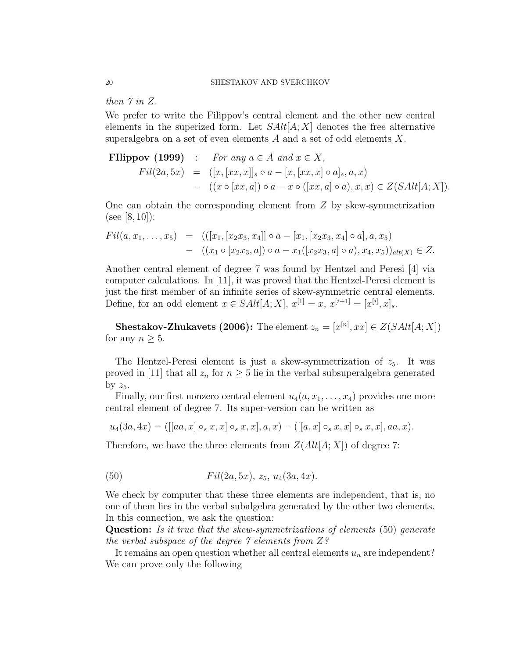*then 7 in* Z.

We prefer to write the Filippov's central element and the other new central elements in the superized form. Let  $SAlt[A; X]$  denotes the free alternative superalgebra on a set of even elements  $A$  and a set of odd elements  $X$ .

**Filippov (1999)** : For any 
$$
a \in A
$$
 and  $x \in X$ ,  
\n
$$
Fil(2a,5x) = ([x,[xx,x]]_s \circ a - [x,[xx,x] \circ a]_s, a,x)
$$
\n
$$
- ((x \circ [xx,a]) \circ a - x \circ ([xx,a] \circ a), x, x) \in Z(SAlt[A;X]).
$$

One can obtain the corresponding element from  $Z$  by skew-symmetrization (see [8, 10]):

$$
Fil(a, x_1, \ldots, x_5) = (([x_1, [x_2x_3, x_4]] \circ a - [x_1, [x_2x_3, x_4] \circ a], a, x_5) - ((x_1 \circ [x_2x_3, a]) \circ a - x_1([x_2x_3, a] \circ a), x_4, x_5))_{alt(X)} \in Z.
$$

Another central element of degree 7 was found by Hentzel and Peresi [4] via computer calculations. In [11], it was proved that the Hentzel-Peresi element is just the first member of an infinite series of skew-symmetric central elements. Define, for an odd element  $x \in SAlt[A; X]$ ,  $x^{[1]} = x$ ,  $x^{[i+1]} = [x^{[i]}, x]_s$ .

**Shestakov-Zhukavets (2006):** The element  $z_n = [x^{[n]}, xx] \in Z(SAlt[A; X])$ for any  $n \geq 5$ .

The Hentzel-Peresi element is just a skew-symmetrization of  $z_5$ . It was proved in [11] that all  $z_n$  for  $n \geq 5$  lie in the verbal subsuperalgebra generated by  $z_5$ .

Finally, our first nonzero central element  $u_4(a, x_1, \ldots, x_4)$  provides one more central element of degree 7. Its super-version can be written as

$$
u_4(3a, 4x) = \left( [[aa, x] \circ_s x, x] \circ_s x, x], a, x \right) - \left( [[a, x] \circ_s x, x] \circ_s x, x \right], aa, x).
$$

Therefore, we have the three elements from  $Z(Alt[A; X])$  of degree 7:

(50) 
$$
Fil(2a,5x), z_5, u_4(3a,4x).
$$

We check by computer that these three elements are independent, that is, no one of them lies in the verbal subalgebra generated by the other two elements. In this connection, we ask the question:

Question: *Is it true that the skew-symmetrizations of elements* (50) *generate the verbal subspace of the degree 7 elements from* Z*?*

It remains an open question whether all central elements  $u_n$  are independent? We can prove only the following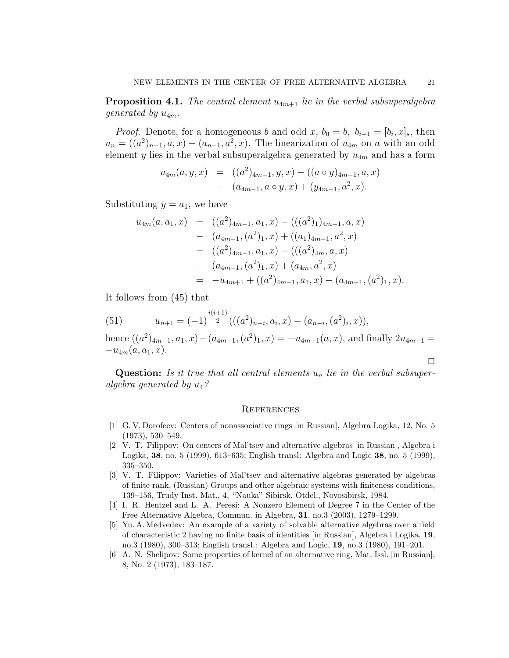**Proposition 4.1.** The central element  $u_{4m+1}$  lie in the verbal subsuperalgebra *generated by*  $u_{4m}$ *.* 

*Proof.* Denote, for a homogeneous b and odd x,  $b_0 = b$ ,  $b_{i+1} = [b_i, x]_s$ , then  $u_n = ((a^2)_{n-1}, a, x) - (a_{n-1}, a^2, x)$ . The linearization of  $u_{4m}$  on a with an odd element y lies in the verbal subsuperalgebra generated by  $u_{4m}$  and has a form

$$
u_{4m}(a, y, x) = ((a2)4m-1, y, x) - ((a \circ y)4m-1, a, x)- (a4m-1, a \circ y, x) + (y4m-1, a2, x).
$$

Substituting  $y = a_1$ , we have

$$
u_{4m}(a, a_1, x) = ((a^2)_{4m-1}, a_1, x) - (((a^2)_{1})_{4m-1}, a, x)
$$
  
\n
$$
- (a_{4m-1}, (a^2)_{1}, x) + ((a_1)_{4m-1}, a^2, x)
$$
  
\n
$$
= ((a^2)_{4m-1}, a_1, x) - (((a^2)_{4m}, a, x)
$$
  
\n
$$
- (a_{4m-1}, (a^2)_{1}, x) + (a_{4m}, a^2, x)
$$
  
\n
$$
= -u_{4m+1} + ((a^2)_{4m-1}, a_1, x) - (a_{4m-1}, (a^2)_{1}, x).
$$

It follows from (45) that

(51) 
$$
u_{n+1} = (-1)^{\frac{i(i+1)}{2}}(((a^2)_{n-i}, a_i, x) - (a_{n-i}, (a^2)_i, x)),
$$

hence  $((a^2)_{4m-1}, a_1, x) - (a_{4m-1}, (a^2)_1, x) = -u_{4m+1}(a, x)$ , and finally  $2u_{4m+1} =$  $-u_{4m}(a, a_1, x).$ 

Question: *Is it true that all central elements* u<sup>n</sup> *lie in the verbal subsuperalgebra generated by* u4*?*

#### **REFERENCES**

- [1] G. V. Dorofeev: Centers of nonassociative rings [in Russian], Algebra Logika, 12, No. 5 (1973), 530–549.
- [2] V. T. Filippov: On centers of Mal'tsev and alternative algebras [in Russian], Algebra i Logika, 38, no. 5 (1999), 613–635; English transl: Algebra and Logic 38, no. 5 (1999), 335–350.
- [3] V. T. Filippov: Varieties of Mal'tsev and alternative algebras generated by algebras of finite rank. (Russian) Groups and other algebraic systems with finiteness conditions, 139–156, Trudy Inst. Mat., 4, "Nauka" Sibirsk. Otdel., Novosibirsk, 1984.
- [4] I. R. Hentzel and L. A. Peresi: A Nonzero Element of Degree 7 in the Center of the Free Alternative Algebra, Commun. in Algebra, 31, no.3 (2003), 1279–1299.
- [5] Yu. A. Medvedev: An example of a variety of solvable alternative algebras over a field of characteristic 2 having no finite basis of identities [in Russian], Algebra i Logika, 19, no.3 (1980), 300–313; English transl.: Algebra and Logic, 19, no.3 (1980), 191–201.
- [6] A. N. Shelipov: Some properties of kernel of an alternative ring, Mat. Issl. [in Russian], 8, No. 2 (1973), 183–187.

 $\Box$